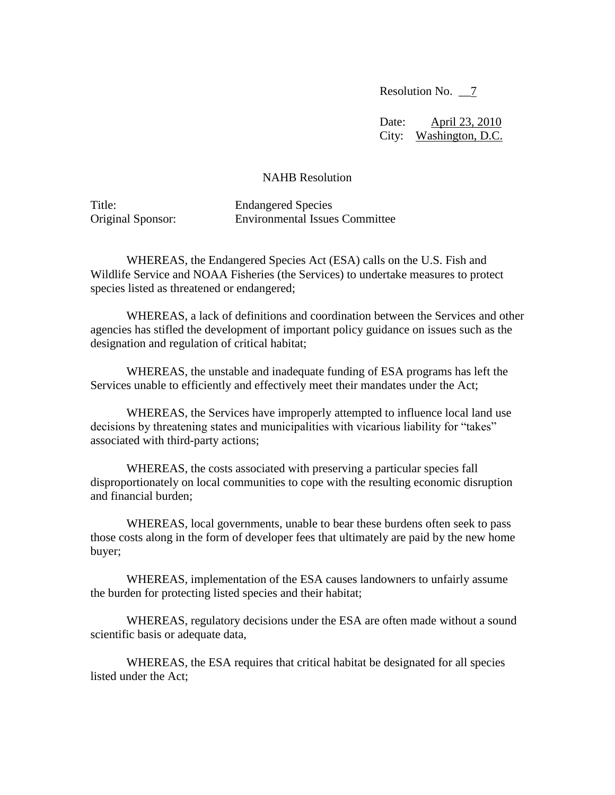Resolution No. \_\_7

Date: April 23, 2010 City: Washington, D.C.

## NAHB Resolution

Title: Endangered Species Original Sponsor: Environmental Issues Committee

WHEREAS, the Endangered Species Act (ESA) calls on the U.S. Fish and Wildlife Service and NOAA Fisheries (the Services) to undertake measures to protect species listed as threatened or endangered;

WHEREAS, a lack of definitions and coordination between the Services and other agencies has stifled the development of important policy guidance on issues such as the designation and regulation of critical habitat;

WHEREAS, the unstable and inadequate funding of ESA programs has left the Services unable to efficiently and effectively meet their mandates under the Act;

WHEREAS, the Services have improperly attempted to influence local land use decisions by threatening states and municipalities with vicarious liability for "takes" associated with third-party actions;

WHEREAS, the costs associated with preserving a particular species fall disproportionately on local communities to cope with the resulting economic disruption and financial burden;

 WHEREAS, local governments, unable to bear these burdens often seek to pass those costs along in the form of developer fees that ultimately are paid by the new home buyer;

WHEREAS, implementation of the ESA causes landowners to unfairly assume the burden for protecting listed species and their habitat;

WHEREAS, regulatory decisions under the ESA are often made without a sound scientific basis or adequate data,

WHEREAS, the ESA requires that critical habitat be designated for all species listed under the Act;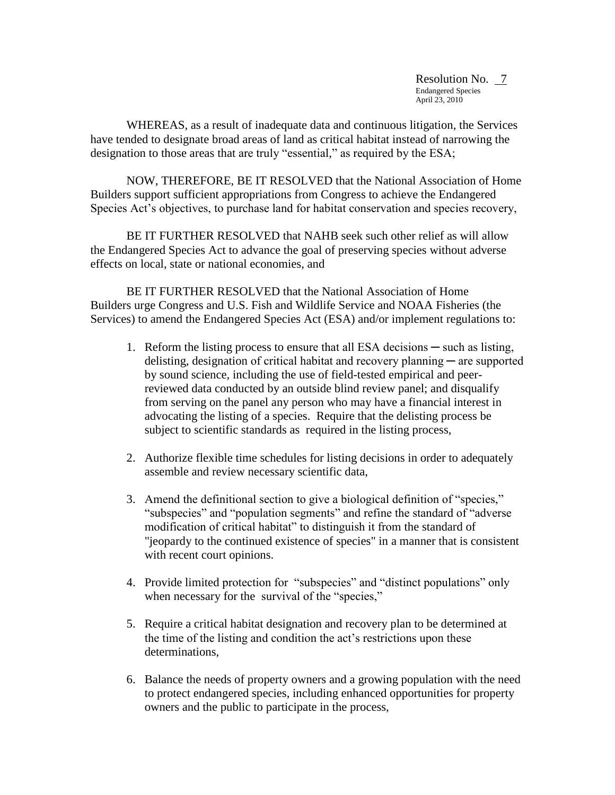Resolution No. 7 Endangered Species April 23, 2010

WHEREAS, as a result of inadequate data and continuous litigation, the Services have tended to designate broad areas of land as critical habitat instead of narrowing the designation to those areas that are truly "essential," as required by the ESA;

 NOW, THEREFORE, BE IT RESOLVED that the National Association of Home Builders support sufficient appropriations from Congress to achieve the Endangered Species Act's objectives, to purchase land for habitat conservation and species recovery,

BE IT FURTHER RESOLVED that NAHB seek such other relief as will allow the Endangered Species Act to advance the goal of preserving species without adverse effects on local, state or national economies, and

BE IT FURTHER RESOLVED that the National Association of Home Builders urge Congress and U.S. Fish and Wildlife Service and NOAA Fisheries (the Services) to amend the Endangered Species Act (ESA) and/or implement regulations to:

- 1. Reform the listing process to ensure that all ESA decisions such as listing, delisting, designation of critical habitat and recovery planning ─ are supported by sound science, including the use of field-tested empirical and peerreviewed data conducted by an outside blind review panel; and disqualify from serving on the panel any person who may have a financial interest in advocating the listing of a species. Require that the delisting process be subject to scientific standards as required in the listing process,
- 2. Authorize flexible time schedules for listing decisions in order to adequately assemble and review necessary scientific data,
- 3. Amend the definitional section to give a biological definition of "species," "subspecies" and "population segments" and refine the standard of "adverse modification of critical habitat" to distinguish it from the standard of "jeopardy to the continued existence of species" in a manner that is consistent with recent court opinions.
- 4. Provide limited protection for "subspecies" and "distinct populations" only when necessary for the survival of the "species,"
- 5. Require a critical habitat designation and recovery plan to be determined at the time of the listing and condition the act's restrictions upon these determinations,
- 6. Balance the needs of property owners and a growing population with the need to protect endangered species, including enhanced opportunities for property owners and the public to participate in the process,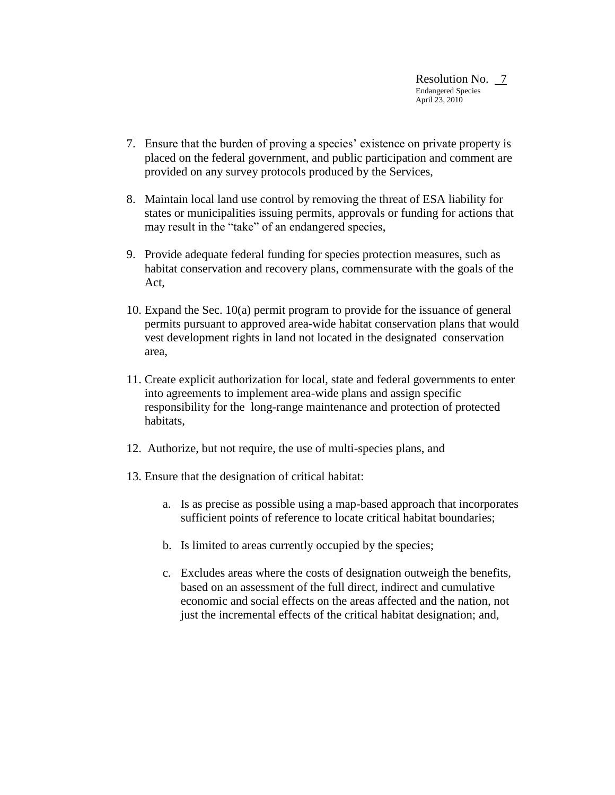- 7. Ensure that the burden of proving a species' existence on private property is placed on the federal government, and public participation and comment are provided on any survey protocols produced by the Services,
- 8. Maintain local land use control by removing the threat of ESA liability for states or municipalities issuing permits, approvals or funding for actions that may result in the "take" of an endangered species,
- 9. Provide adequate federal funding for species protection measures, such as habitat conservation and recovery plans, commensurate with the goals of the Act,
- 10. Expand the Sec. 10(a) permit program to provide for the issuance of general permits pursuant to approved area-wide habitat conservation plans that would vest development rights in land not located in the designated conservation area,
- 11. Create explicit authorization for local, state and federal governments to enter into agreements to implement area-wide plans and assign specific responsibility for the long-range maintenance and protection of protected habitats,
- 12. Authorize, but not require, the use of multi-species plans, and
- 13. Ensure that the designation of critical habitat:
	- a. Is as precise as possible using a map-based approach that incorporates sufficient points of reference to locate critical habitat boundaries;
	- b. Is limited to areas currently occupied by the species;
	- c. Excludes areas where the costs of designation outweigh the benefits, based on an assessment of the full direct, indirect and cumulative economic and social effects on the areas affected and the nation, not just the incremental effects of the critical habitat designation; and,